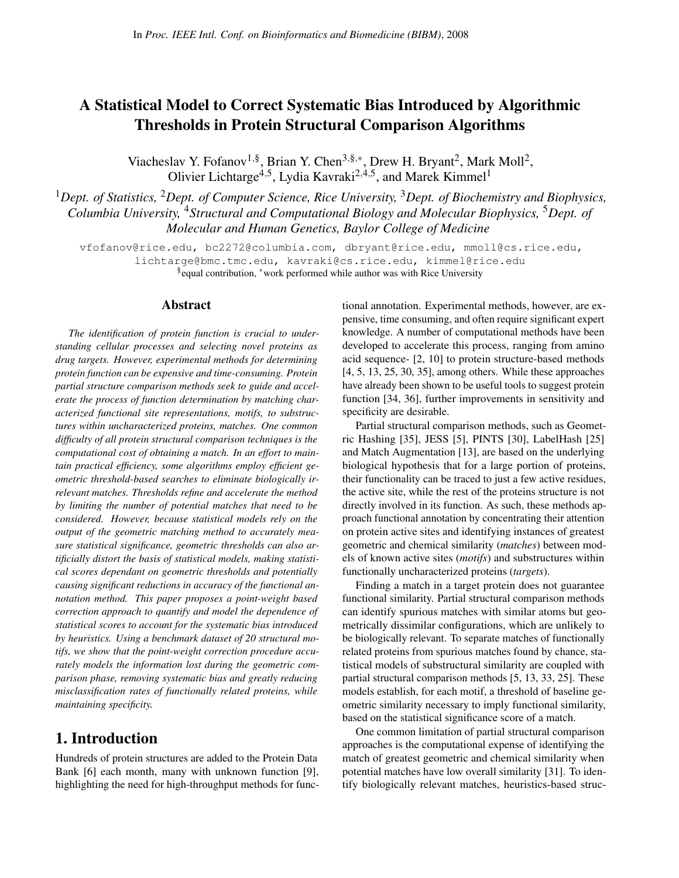# A Statistical Model to Correct Systematic Bias Introduced by Algorithmic Thresholds in Protein Structural Comparison Algorithms

Viacheslav Y. Fofanov<sup>1,§</sup>, Brian Y. Chen<sup>3,§,∗</sup>, Drew H. Bryant<sup>2</sup>, Mark Moll<sup>2</sup>, Olivier Lichtarge<sup>4,5</sup>, Lydia Kavraki<sup>2,4,5</sup>, and Marek Kimmel<sup>1</sup>

<sup>1</sup>*Dept. of Statistics,* <sup>2</sup>*Dept. of Computer Science, Rice University,* <sup>3</sup>*Dept. of Biochemistry and Biophysics, Columbia University,* <sup>4</sup>*Structural and Computational Biology and Molecular Biophysics,* <sup>5</sup>*Dept. of Molecular and Human Genetics, Baylor College of Medicine*

vfofanov@rice.edu, bc2272@columbia.com, dbryant@rice.edu, mmoll@cs.rice.edu, lichtarge@bmc.tmc.edu, kavraki@cs.rice.edu, kimmel@rice.edu §equal contribution, \*work performed while author was with Rice University

#### Abstract

*The identification of protein function is crucial to understanding cellular processes and selecting novel proteins as drug targets. However, experimental methods for determining protein function can be expensive and time-consuming. Protein partial structure comparison methods seek to guide and accelerate the process of function determination by matching characterized functional site representations, motifs, to substructures within uncharacterized proteins, matches. One common difficulty of all protein structural comparison techniques is the computational cost of obtaining a match. In an effort to maintain practical efficiency, some algorithms employ efficient geometric threshold-based searches to eliminate biologically irrelevant matches. Thresholds refine and accelerate the method by limiting the number of potential matches that need to be considered. However, because statistical models rely on the output of the geometric matching method to accurately measure statistical significance, geometric thresholds can also artificially distort the basis of statistical models, making statistical scores dependant on geometric thresholds and potentially causing significant reductions in accuracy of the functional annotation method. This paper proposes a point-weight based correction approach to quantify and model the dependence of statistical scores to account for the systematic bias introduced by heuristics. Using a benchmark dataset of 20 structural motifs, we show that the point-weight correction procedure accurately models the information lost during the geometric comparison phase, removing systematic bias and greatly reducing misclassification rates of functionally related proteins, while maintaining specificity.*

#### 1. Introduction

Hundreds of protein structures are added to the Protein Data Bank [6] each month, many with unknown function [9], highlighting the need for high-throughput methods for functional annotation. Experimental methods, however, are expensive, time consuming, and often require significant expert knowledge. A number of computational methods have been developed to accelerate this process, ranging from amino acid sequence- [2, 10] to protein structure-based methods [4, 5, 13, 25, 30, 35], among others. While these approaches have already been shown to be useful tools to suggest protein function [34, 36], further improvements in sensitivity and specificity are desirable.

Partial structural comparison methods, such as Geometric Hashing [35], JESS [5], PINTS [30], LabelHash [25] and Match Augmentation [13], are based on the underlying biological hypothesis that for a large portion of proteins, their functionality can be traced to just a few active residues, the active site, while the rest of the proteins structure is not directly involved in its function. As such, these methods approach functional annotation by concentrating their attention on protein active sites and identifying instances of greatest geometric and chemical similarity (*matches*) between models of known active sites (*motifs*) and substructures within functionally uncharacterized proteins (*targets*).

Finding a match in a target protein does not guarantee functional similarity. Partial structural comparison methods can identify spurious matches with similar atoms but geometrically dissimilar configurations, which are unlikely to be biologically relevant. To separate matches of functionally related proteins from spurious matches found by chance, statistical models of substructural similarity are coupled with partial structural comparison methods [5, 13, 33, 25]. These models establish, for each motif, a threshold of baseline geometric similarity necessary to imply functional similarity, based on the statistical significance score of a match.

One common limitation of partial structural comparison approaches is the computational expense of identifying the match of greatest geometric and chemical similarity when potential matches have low overall similarity [31]. To identify biologically relevant matches, heuristics-based struc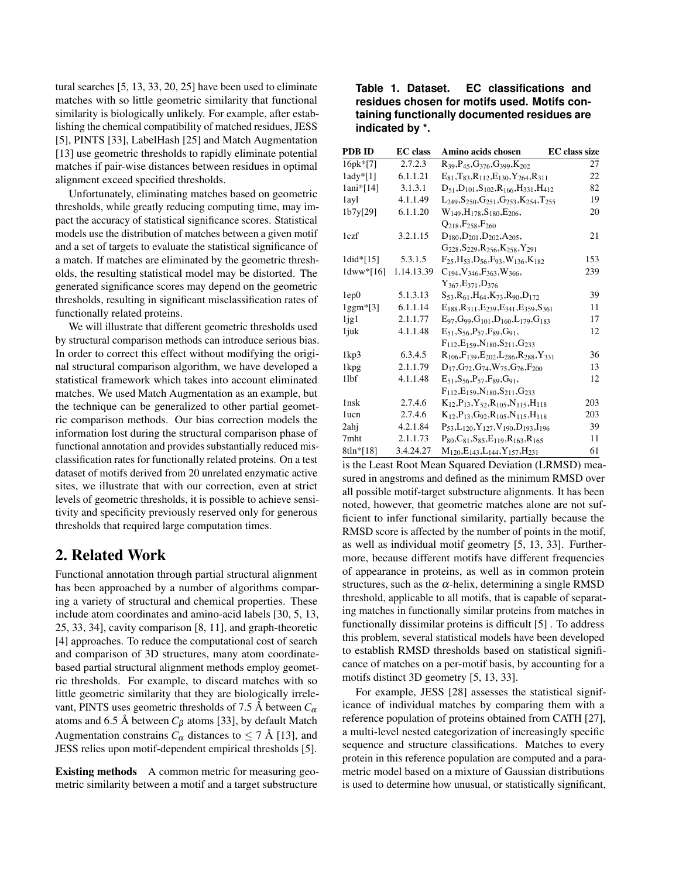tural searches [5, 13, 33, 20, 25] have been used to eliminate matches with so little geometric similarity that functional similarity is biologically unlikely. For example, after establishing the chemical compatibility of matched residues, JESS [5], PINTS [33], LabelHash [25] and Match Augmentation [13] use geometric thresholds to rapidly eliminate potential matches if pair-wise distances between residues in optimal alignment exceed specified thresholds.

Unfortunately, eliminating matches based on geometric thresholds, while greatly reducing computing time, may impact the accuracy of statistical significance scores. Statistical models use the distribution of matches between a given motif and a set of targets to evaluate the statistical significance of a match. If matches are eliminated by the geometric thresholds, the resulting statistical model may be distorted. The generated significance scores may depend on the geometric thresholds, resulting in significant misclassification rates of functionally related proteins.

We will illustrate that different geometric thresholds used by structural comparison methods can introduce serious bias. In order to correct this effect without modifying the original structural comparison algorithm, we have developed a statistical framework which takes into account eliminated matches. We used Match Augmentation as an example, but the technique can be generalized to other partial geometric comparison methods. Our bias correction models the information lost during the structural comparison phase of functional annotation and provides substantially reduced misclassification rates for functionally related proteins. On a test dataset of motifs derived from 20 unrelated enzymatic active sites, we illustrate that with our correction, even at strict levels of geometric thresholds, it is possible to achieve sensitivity and specificity previously reserved only for generous thresholds that required large computation times.

### 2. Related Work

Functional annotation through partial structural alignment has been approached by a number of algorithms comparing a variety of structural and chemical properties. These include atom coordinates and amino-acid labels [30, 5, 13, 25, 33, 34], cavity comparison [8, 11], and graph-theoretic [4] approaches. To reduce the computational cost of search and comparison of 3D structures, many atom coordinatebased partial structural alignment methods employ geometric thresholds. For example, to discard matches with so little geometric similarity that they are biologically irrelevant, PINTS uses geometric thresholds of 7.5 Å between  $C_{\alpha}$ atoms and 6.5 Å between  $C_{\beta}$  atoms [33], by default Match Augmentation constrains  $C_{\alpha}$  distances to  $\leq 7$  Å [13], and JESS relies upon motif-dependent empirical thresholds [5].

Existing methods A common metric for measuring geometric similarity between a motif and a target substructure

|                 |  | Table 1. Dataset. EC classifications and     |  |
|-----------------|--|----------------------------------------------|--|
|                 |  | residues chosen for motifs used. Motifs con- |  |
|                 |  | taining functionally documented residues are |  |
| indicated by *. |  |                                              |  |

| PDB ID            | <b>EC</b> class | Amino acids chosen                                                                                       | <b>EC</b> class size |
|-------------------|-----------------|----------------------------------------------------------------------------------------------------------|----------------------|
| 16pk*[7]          | 2.7.2.3         | $R_{39}$ , $P_{45}$ , $G_{376}$ , $G_{399}$ , $K_{202}$                                                  | 27                   |
| $1$ ady* $[1]$    | 6.1.1.21        | $E_{81}$ , T <sub>83</sub> , R <sub>112</sub> , E <sub>130</sub> , Y <sub>264</sub> , R <sub>311</sub>   | 22                   |
| 1ani*[14]         | 3.1.3.1         | $D_{51}$ , $D_{101}$ , $S_{102}$ , $R_{166}$ , $H_{331}$ , $H_{412}$                                     | 82                   |
| 1ayl              | 4.1.1.49        | $L_{249}$ , $S_{250}$ , $G_{251}$ , $G_{253}$ , $K_{254}$ , $T_{255}$                                    | 19                   |
| 1b7y[29]          | 6.1.1.20        | $W_{149}$ , H <sub>178</sub> , S <sub>180</sub> , E <sub>206</sub> ,                                     | 20                   |
|                   |                 | $O_{218}$ , $F_{258}$ , $F_{260}$                                                                        |                      |
| 1czf              | 3.2.1.15        | $D_{180}$ , $D_{201}$ , $D_{202}$ , $A_{205}$ ,                                                          | 21                   |
|                   |                 | $G_{228}$ , $S_{229}$ , $R_{256}$ , $K_{258}$ , $Y_{291}$                                                |                      |
| 1did*[15]         | 5.3.1.5         | $F_{25}$ , H <sub>53</sub> , D <sub>56</sub> , F <sub>93</sub> , W <sub>136</sub> , K <sub>182</sub>     | 153                  |
| $1$ dww* $[16]$   | 1.14.13.39      | $C_{194}$ , $V_{346}$ , $F_{363}$ , $W_{366}$ ,                                                          | 239                  |
|                   |                 | $Y_{367}, E_{371}, D_{376}$                                                                              |                      |
| 1ep0              | 5.1.3.13        | $S_{53}$ , $R_{61}$ , $H_{64}$ , $K_{73}$ , $R_{90}$ , $D_{172}$                                         | 39                   |
| $lggm*[3]$        | 6.1.1.14        | $E_{188}$ , R <sub>311</sub> , E <sub>239</sub> , E <sub>341</sub> , E <sub>359</sub> , S <sub>361</sub> | 11                   |
| 1 <sub>1</sub> g1 | 2.1.1.77        | $E_{97}$ , G <sub>99</sub> , G <sub>101</sub> , D <sub>160</sub> , L <sub>179</sub> , G <sub>183</sub>   | 17                   |
| 1 juk             | 4.1.1.48        | $E_{51}$ , $S_{56}$ , $P_{57}$ , $F_{89}$ , $G_{91}$ ,                                                   | 12                   |
|                   |                 | $F_{112}E_{159}N_{180}S_{211}G_{233}$                                                                    |                      |
| 1kp3              | 6.3.4.5         | $R_{106}$ , $F_{139}$ , $E_{202}$ , $L_{286}$ , $R_{288}$ , $Y_{331}$                                    | 36                   |
| 1kpg              | 2.1.1.79        | $D_{17}, G_{72}, G_{74}, W_{75}, G_{76}, F_{200}$                                                        | 13                   |
| 11bf              | 4.1.1.48        | $E_{51}$ , $S_{56}$ , $P_{57}$ , $F_{89}$ , $G_{91}$ ,                                                   | 12                   |
|                   |                 | $F_{112}E_{159}N_{180}S_{211}G_{233}$                                                                    |                      |
| 1nsk              | 2.7.4.6         | $K_{12}$ , $P_{13}$ , $Y_{52}$ , $R_{105}$ , $N_{115}$ , $H_{118}$                                       | 203                  |
| 1ucn              | 2.7.4.6         | $K_{12}$ , $P_{13}$ , $G_{92}$ , $R_{105}$ , $N_{115}$ , $H_{118}$                                       | 203                  |
| 2ahi              | 4.2.1.84        | $P_{53},L_{120},Y_{127},V_{190},D_{193},I_{196}$                                                         | 39                   |
| 7mht              | 2.1.1.73        | $P_{80},C_{81},S_{85},E_{119},R_{163},R_{165}$                                                           | 11                   |
| 8tln*[18]         | 3.4.24.27       | $M_{120},E_{143},L_{144},Y_{157},H_{231}$                                                                | 61                   |
|                   |                 |                                                                                                          |                      |

is the Least Root Mean Squared Deviation (LRMSD) measured in angstroms and defined as the minimum RMSD over all possible motif-target substructure alignments. It has been noted, however, that geometric matches alone are not sufficient to infer functional similarity, partially because the RMSD score is affected by the number of points in the motif, as well as individual motif geometry [5, 13, 33]. Furthermore, because different motifs have different frequencies of appearance in proteins, as well as in common protein structures, such as the  $\alpha$ -helix, determining a single RMSD threshold, applicable to all motifs, that is capable of separating matches in functionally similar proteins from matches in functionally dissimilar proteins is difficult [5] . To address this problem, several statistical models have been developed to establish RMSD thresholds based on statistical significance of matches on a per-motif basis, by accounting for a motifs distinct 3D geometry [5, 13, 33].

For example, JESS [28] assesses the statistical significance of individual matches by comparing them with a reference population of proteins obtained from CATH [27], a multi-level nested categorization of increasingly specific sequence and structure classifications. Matches to every protein in this reference population are computed and a parametric model based on a mixture of Gaussian distributions is used to determine how unusual, or statistically significant,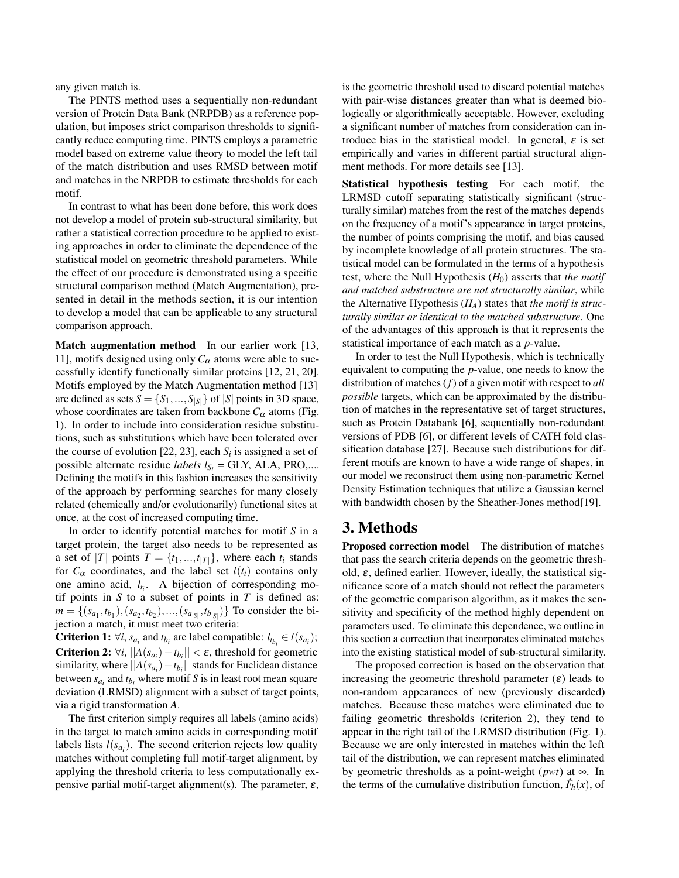any given match is.

The PINTS method uses a sequentially non-redundant version of Protein Data Bank (NRPDB) as a reference population, but imposes strict comparison thresholds to significantly reduce computing time. PINTS employs a parametric model based on extreme value theory to model the left tail of the match distribution and uses RMSD between motif and matches in the NRPDB to estimate thresholds for each motif.

In contrast to what has been done before, this work does not develop a model of protein sub-structural similarity, but rather a statistical correction procedure to be applied to existing approaches in order to eliminate the dependence of the statistical model on geometric threshold parameters. While the effect of our procedure is demonstrated using a specific structural comparison method (Match Augmentation), presented in detail in the methods section, it is our intention to develop a model that can be applicable to any structural comparison approach.

Match augmentation method In our earlier work [13, 11], motifs designed using only  $C_\alpha$  atoms were able to successfully identify functionally similar proteins [12, 21, 20]. Motifs employed by the Match Augmentation method [13] are defined as sets  $S = \{S_1, ..., S_{|S|}\}\$  of  $|S|$  points in 3D space, whose coordinates are taken from backbone  $C_{\alpha}$  atoms (Fig. 1). In order to include into consideration residue substitutions, such as substitutions which have been tolerated over the course of evolution [22, 23], each  $S_i$  is assigned a set of possible alternate residue *labels*  $l_{S_i}$  = GLY, ALA, PRO,.... Defining the motifs in this fashion increases the sensitivity of the approach by performing searches for many closely related (chemically and/or evolutionarily) functional sites at once, at the cost of increased computing time.

In order to identify potential matches for motif *S* in a target protein, the target also needs to be represented as a set of |*T*| points  $T = \{t_1, ..., t_{|T|}\}$ , where each  $t_i$  stands for  $C_{\alpha}$  coordinates, and the label set  $l(t_i)$  contains only one amino acid, *lt<sup>i</sup>* . A bijection of corresponding motif points in *S* to a subset of points in *T* is defined as:  $m = \{(s_{a_1}, t_{b_1}), (s_{a_2}, t_{b_2}), ..., (s_{a_{|S|}}, t_{b_{|S|}})\}$  To consider the bijection a match, it must meet two criteria:

**Criterion 1:**  $\forall i$ ,  $s_{a_i}$  and  $t_{b_i}$  are label compatible:  $l_{t_{b_i}} \in l(s_{a_i})$ ; **Criterion 2:**  $\forall i$ ,  $||A(s_{a_i}) - t_{b_i}|| < \varepsilon$ , threshold for geometric similarity, where  $||A(s_{a_i}) - t_{b_i}||$  stands for Euclidean distance between  $s_{a_i}$  and  $t_{b_i}$  where motif *S* is in least root mean square deviation (LRMSD) alignment with a subset of target points, via a rigid transformation *A*.

The first criterion simply requires all labels (amino acids) in the target to match amino acids in corresponding motif labels lists  $l(s_{a_i})$ . The second criterion rejects low quality matches without completing full motif-target alignment, by applying the threshold criteria to less computationally expensive partial motif-target alignment(s). The parameter,  $\varepsilon$ , is the geometric threshold used to discard potential matches with pair-wise distances greater than what is deemed biologically or algorithmically acceptable. However, excluding a significant number of matches from consideration can introduce bias in the statistical model. In general,  $\varepsilon$  is set empirically and varies in different partial structural alignment methods. For more details see [13].

Statistical hypothesis testing For each motif, the LRMSD cutoff separating statistically significant (structurally similar) matches from the rest of the matches depends on the frequency of a motif's appearance in target proteins, the number of points comprising the motif, and bias caused by incomplete knowledge of all protein structures. The statistical model can be formulated in the terms of a hypothesis test, where the Null Hypothesis  $(H_0)$  asserts that *the motif and matched substructure are not structurally similar*, while the Alternative Hypothesis (*HA*) states that *the motif is structurally similar or identical to the matched substructure*. One of the advantages of this approach is that it represents the statistical importance of each match as a *p*-value.

In order to test the Null Hypothesis, which is technically equivalent to computing the *p*-value, one needs to know the distribution of matches (*f*) of a given motif with respect to *all possible* targets, which can be approximated by the distribution of matches in the representative set of target structures, such as Protein Databank [6], sequentially non-redundant versions of PDB [6], or different levels of CATH fold classification database [27]. Because such distributions for different motifs are known to have a wide range of shapes, in our model we reconstruct them using non-parametric Kernel Density Estimation techniques that utilize a Gaussian kernel with bandwidth chosen by the Sheather-Jones method[19].

## 3. Methods

Proposed correction model The distribution of matches that pass the search criteria depends on the geometric threshold,  $\varepsilon$ , defined earlier. However, ideally, the statistical significance score of a match should not reflect the parameters of the geometric comparison algorithm, as it makes the sensitivity and specificity of the method highly dependent on parameters used. To eliminate this dependence, we outline in this section a correction that incorporates eliminated matches into the existing statistical model of sub-structural similarity.

The proposed correction is based on the observation that increasing the geometric threshold parameter  $(\varepsilon)$  leads to non-random appearances of new (previously discarded) matches. Because these matches were eliminated due to failing geometric thresholds (criterion 2), they tend to appear in the right tail of the LRMSD distribution (Fig. 1). Because we are only interested in matches within the left tail of the distribution, we can represent matches eliminated by geometric thresholds as a point-weight (*pwt*) at ∞. In the terms of the cumulative distribution function,  $\hat{F}_h(x)$ , of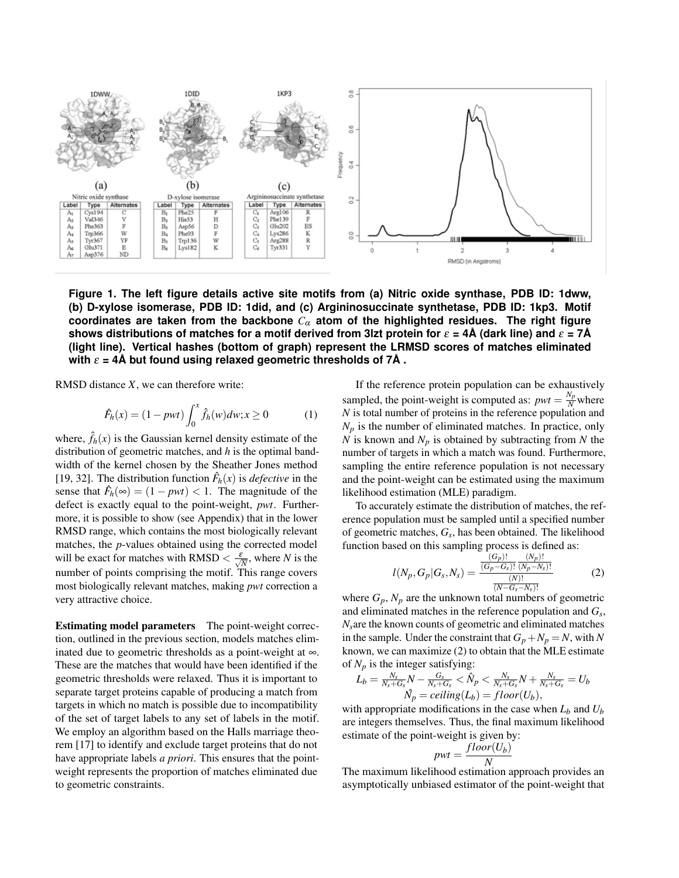

**Figure 1. The left figure details active site motifs from (a) Nitric oxide synthase, PDB ID: 1dww, (b) D-xylose isomerase, PDB ID: 1did, and (c) Argininosuccinate synthetase, PDB ID: 1kp3. Motif coordinates are taken from the backbone** *C*<sup>α</sup> **atom of the highlighted residues. The right figure shows distributions of matches for a motif derived from 3lzt protein for** ε **= 4A (dark line) and ˚** ε **= 7A˚ (light line). Vertical hashes (bottom of graph) represent the LRMSD scores of matches eliminated with**  $\varepsilon = 4\text{\AA}$  but found using relaxed geometric thresholds of  $7\text{\AA}$ .

RMSD distance *X*, we can therefore write:

$$
\hat{F}_h(x) = (1 - pwt) \int_0^x \hat{f}_h(w) dw; x \ge 0
$$
 (1)

where,  $\hat{f}_h(x)$  is the Gaussian kernel density estimate of the distribution of geometric matches, and *h* is the optimal bandwidth of the kernel chosen by the Sheather Jones method [19, 32]. The distribution function  $\hat{F}_h(x)$  is *defective* in the sense that  $\hat{F}_h(\infty) = (1 - pwt) < 1$ . The magnitude of the defect is exactly equal to the point-weight, *pwt*. Furthermore, it is possible to show (see Appendix) that in the lower RMSD range, which contains the most biologically relevant matches, the *p*-values obtained using the corrected model will be exact for matches with RMSD  $\langle \frac{\varepsilon}{\sqrt{N}}$ , where *N* is the number of points comprising the motif. This range covers most biologically relevant matches, making *pwt* correction a very attractive choice.

Estimating model parameters The point-weight correction, outlined in the previous section, models matches eliminated due to geometric thresholds as a point-weight at ∞. These are the matches that would have been identified if the geometric thresholds were relaxed. Thus it is important to separate target proteins capable of producing a match from targets in which no match is possible due to incompatibility of the set of target labels to any set of labels in the motif. We employ an algorithm based on the Halls marriage theorem [17] to identify and exclude target proteins that do not have appropriate labels *a priori*. This ensures that the pointweight represents the proportion of matches eliminated due to geometric constraints.

If the reference protein population can be exhaustively sampled, the point-weight is computed as:  $pwt = \frac{N_p}{N}$  where *N* is total number of proteins in the reference population and  $N_p$  is the number of eliminated matches. In practice, only *N* is known and *N<sup>p</sup>* is obtained by subtracting from *N* the number of targets in which a match was found. Furthermore, sampling the entire reference population is not necessary and the point-weight can be estimated using the maximum likelihood estimation (MLE) paradigm.

To accurately estimate the distribution of matches, the reference population must be sampled until a specified number of geometric matches, *G<sup>s</sup>* , has been obtained. The likelihood function based on this sampling process is defined as:

$$
l(N_p, G_p | G_s, N_s) = \frac{\frac{(G_p)!}{(G_p - G_s)!} \frac{(N_p)!}{(N_p - N_s)!}}{\frac{(N)!}{(N - G_s - N_s)!}}
$$
(2)

 $\frac{\overline{(N-G_s-N_s)!}}{\overline{(N-G_s-N_s)!}}$  where  $G_p$ ,  $N_p$  are the unknown total numbers of geometric and eliminated matches in the reference population and *G<sup>s</sup>* , *Ns*are the known counts of geometric and eliminated matches in the sample. Under the constraint that  $G_p + N_p = N$ , with N known, we can maximize (2) to obtain that the MLE estimate of  $N_p$  is the integer satisfying:

$$
L_b = \frac{N_s}{N_s + G_s} N - \frac{G_s}{N_s + G_s} < \hat{N}_p < \frac{N_s}{N_s + G_s} N + \frac{N_s}{N_s + G_s} = U_b
$$
  

$$
\hat{N}_p = ceiling(L_b) = floor(U_b),
$$

with appropriate modifications in the case when  $L_b$  and  $U_b$ are integers themselves. Thus, the final maximum likelihood estimate of the point-weight is given by:

$$
pwt = \frac{floor(U_b)}{N}
$$

The maximum likelihood estimation approach provides an asymptotically unbiased estimator of the point-weight that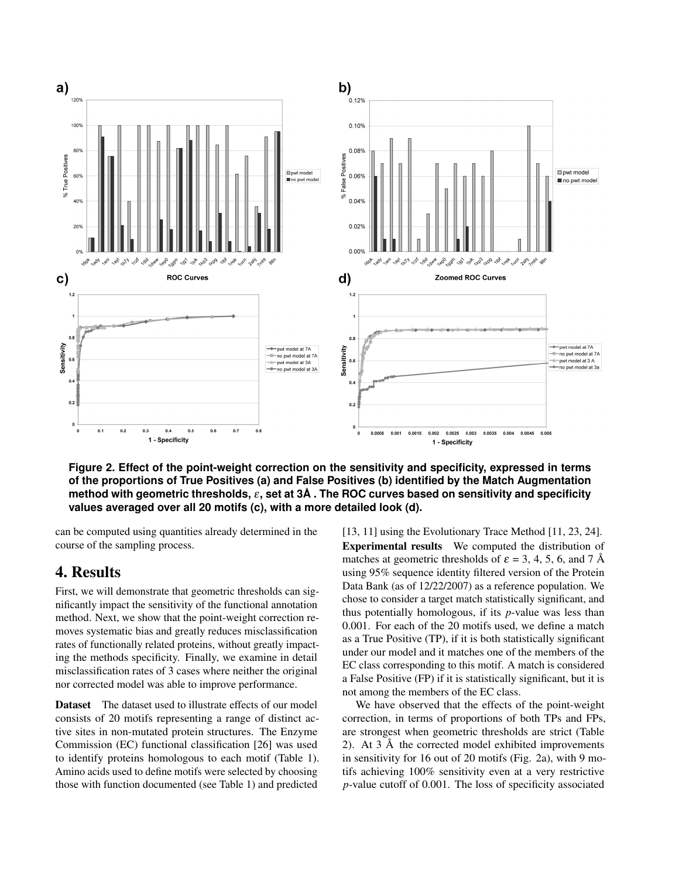

**Figure 2. Effect of the point-weight correction on the sensitivity and specificity, expressed in terms of the proportions of True Positives (a) and False Positives (b) identified by the Match Augmentation method with geometric thresholds,** ε**, set at 3A . The ROC curves based on sensitivity and specificity ˚ values averaged over all 20 motifs (c), with a more detailed look (d).**

can be computed using quantities already determined in the course of the sampling process.

### 4. Results

First, we will demonstrate that geometric thresholds can significantly impact the sensitivity of the functional annotation method. Next, we show that the point-weight correction removes systematic bias and greatly reduces misclassification rates of functionally related proteins, without greatly impacting the methods specificity. Finally, we examine in detail misclassification rates of 3 cases where neither the original nor corrected model was able to improve performance.

Dataset The dataset used to illustrate effects of our model consists of 20 motifs representing a range of distinct active sites in non-mutated protein structures. The Enzyme Commission (EC) functional classification [26] was used to identify proteins homologous to each motif (Table 1). Amino acids used to define motifs were selected by choosing those with function documented (see Table 1) and predicted

[13, 11] using the Evolutionary Trace Method [11, 23, 24]. Experimental results We computed the distribution of matches at geometric thresholds of  $\varepsilon = 3, 4, 5, 6$ , and 7 Å using 95% sequence identity filtered version of the Protein Data Bank (as of 12/22/2007) as a reference population. We chose to consider a target match statistically significant, and thus potentially homologous, if its *p*-value was less than 0.001. For each of the 20 motifs used, we define a match as a True Positive (TP), if it is both statistically significant under our model and it matches one of the members of the EC class corresponding to this motif. A match is considered a False Positive (FP) if it is statistically significant, but it is not among the members of the EC class.

We have observed that the effects of the point-weight correction, in terms of proportions of both TPs and FPs, are strongest when geometric thresholds are strict (Table 2). At  $3 \text{ Å}$  the corrected model exhibited improvements in sensitivity for 16 out of 20 motifs (Fig. 2a), with 9 motifs achieving 100% sensitivity even at a very restrictive *p*-value cutoff of 0.001. The loss of specificity associated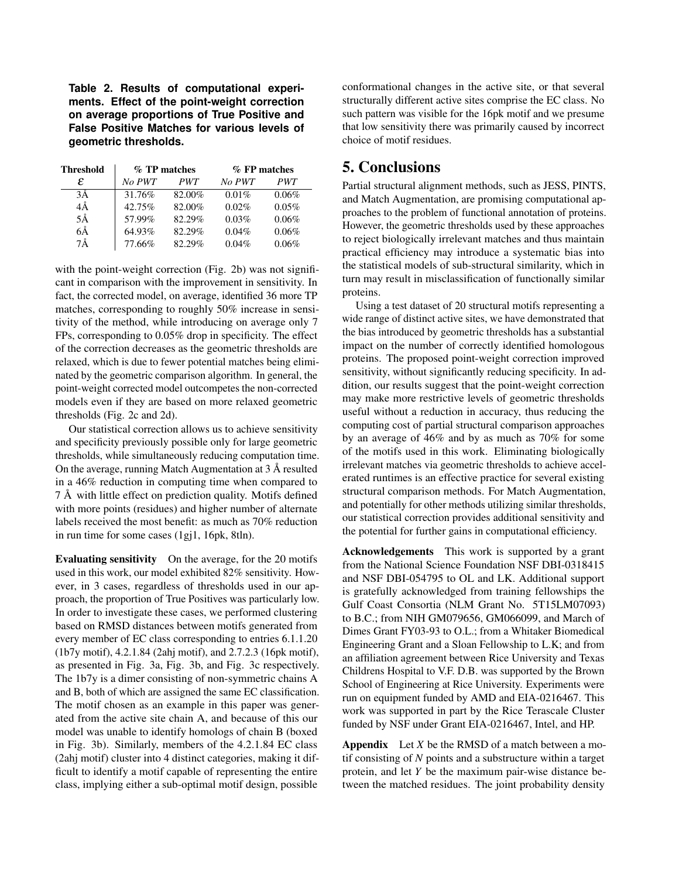**Table 2. Results of computational experiments. Effect of the point-weight correction on average proportions of True Positive and False Positive Matches for various levels of geometric thresholds.**

| <b>Threshold</b> | $%$ TP matches |            | $%$ FP matches |       |
|------------------|----------------|------------|----------------|-------|
| ε                | No PWT         | <b>PWT</b> | No PWT         | PWT   |
| 3Ă               | 31.76%         | 82.00%     | $0.01\%$       | 0.06% |
| 4Å               | 42.75%         | 82.00%     | 0.02%          | 0.05% |
| 5Å               | 57.99%         | 82.29%     | 0.03%          | 0.06% |
| 6Å               | 64.93%         | 82.29%     | 0.04%          | 0.06% |
| 7Å               | 77.66%         | 82.29%     | 0.04%          | 0.06% |

with the point-weight correction (Fig. 2b) was not significant in comparison with the improvement in sensitivity. In fact, the corrected model, on average, identified 36 more TP matches, corresponding to roughly 50% increase in sensitivity of the method, while introducing on average only 7 FPs, corresponding to 0.05% drop in specificity. The effect of the correction decreases as the geometric thresholds are relaxed, which is due to fewer potential matches being eliminated by the geometric comparison algorithm. In general, the point-weight corrected model outcompetes the non-corrected models even if they are based on more relaxed geometric thresholds (Fig. 2c and 2d).

Our statistical correction allows us to achieve sensitivity and specificity previously possible only for large geometric thresholds, while simultaneously reducing computation time. On the average, running Match Augmentation at  $3 \text{ Å}$  resulted in a 46% reduction in computing time when compared to 7 A with little effect on prediction quality. Motifs defined ˚ with more points (residues) and higher number of alternate labels received the most benefit: as much as 70% reduction in run time for some cases (1gj1, 16pk, 8tln).

Evaluating sensitivity On the average, for the 20 motifs used in this work, our model exhibited 82% sensitivity. However, in 3 cases, regardless of thresholds used in our approach, the proportion of True Positives was particularly low. In order to investigate these cases, we performed clustering based on RMSD distances between motifs generated from every member of EC class corresponding to entries 6.1.1.20 (1b7y motif), 4.2.1.84 (2ahj motif), and 2.7.2.3 (16pk motif), as presented in Fig. 3a, Fig. 3b, and Fig. 3c respectively. The 1b7y is a dimer consisting of non-symmetric chains A and B, both of which are assigned the same EC classification. The motif chosen as an example in this paper was generated from the active site chain A, and because of this our model was unable to identify homologs of chain B (boxed in Fig. 3b). Similarly, members of the 4.2.1.84 EC class (2ahj motif) cluster into 4 distinct categories, making it difficult to identify a motif capable of representing the entire class, implying either a sub-optimal motif design, possible

conformational changes in the active site, or that several structurally different active sites comprise the EC class. No such pattern was visible for the 16pk motif and we presume that low sensitivity there was primarily caused by incorrect choice of motif residues.

# 5. Conclusions

Partial structural alignment methods, such as JESS, PINTS, and Match Augmentation, are promising computational approaches to the problem of functional annotation of proteins. However, the geometric thresholds used by these approaches to reject biologically irrelevant matches and thus maintain practical efficiency may introduce a systematic bias into the statistical models of sub-structural similarity, which in turn may result in misclassification of functionally similar proteins.

Using a test dataset of 20 structural motifs representing a wide range of distinct active sites, we have demonstrated that the bias introduced by geometric thresholds has a substantial impact on the number of correctly identified homologous proteins. The proposed point-weight correction improved sensitivity, without significantly reducing specificity. In addition, our results suggest that the point-weight correction may make more restrictive levels of geometric thresholds useful without a reduction in accuracy, thus reducing the computing cost of partial structural comparison approaches by an average of 46% and by as much as 70% for some of the motifs used in this work. Eliminating biologically irrelevant matches via geometric thresholds to achieve accelerated runtimes is an effective practice for several existing structural comparison methods. For Match Augmentation, and potentially for other methods utilizing similar thresholds, our statistical correction provides additional sensitivity and the potential for further gains in computational efficiency.

Acknowledgements This work is supported by a grant from the National Science Foundation NSF DBI-0318415 and NSF DBI-054795 to OL and LK. Additional support is gratefully acknowledged from training fellowships the Gulf Coast Consortia (NLM Grant No. 5T15LM07093) to B.C.; from NIH GM079656, GM066099, and March of Dimes Grant FY03-93 to O.L.; from a Whitaker Biomedical Engineering Grant and a Sloan Fellowship to L.K; and from an affiliation agreement between Rice University and Texas Childrens Hospital to V.F. D.B. was supported by the Brown School of Engineering at Rice University. Experiments were run on equipment funded by AMD and EIA-0216467. This work was supported in part by the Rice Terascale Cluster funded by NSF under Grant EIA-0216467, Intel, and HP.

Appendix Let *X* be the RMSD of a match between a motif consisting of *N* points and a substructure within a target protein, and let *Y* be the maximum pair-wise distance between the matched residues. The joint probability density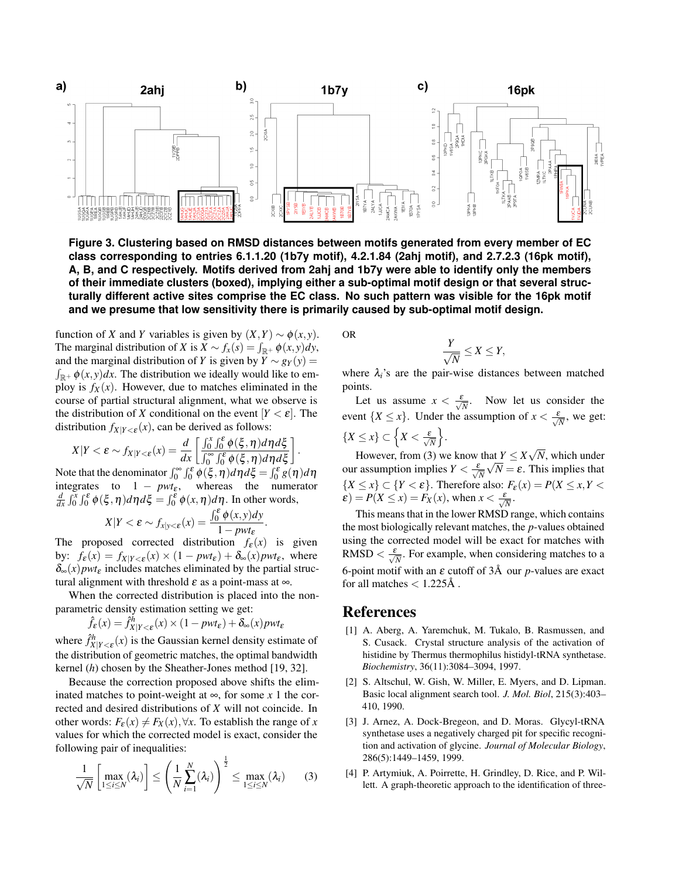

**Figure 3. Clustering based on RMSD distances between motifs generated from every member of EC class corresponding to entries 6.1.1.20 (1b7y motif), 4.2.1.84 (2ahj motif), and 2.7.2.3 (16pk motif), A, B, and C respectively. Motifs derived from 2ahj and 1b7y were able to identify only the members of their immediate clusters (boxed), implying either a sub-optimal motif design or that several structurally different active sites comprise the EC class. No such pattern was visible for the 16pk motif and we presume that low sensitivity there is primarily caused by sub-optimal motif design.**

function of *X* and *Y* variables is given by  $(X, Y) \sim \phi(x, y)$ . The marginal distribution of *X* is  $X \sim f_x(s) = \int_{\mathbb{R}^+} \phi(x, y) dy$ , and the marginal distribution of *Y* is given by  $Y \sim g_Y(y)$  =  $\int_{\mathbb{R}^+} \phi(x, y) dx$ . The distribution we ideally would like to employ is  $f_X(x)$ . However, due to matches eliminated in the course of partial structural alignment, what we observe is the distribution of *X* conditional on the event  $[Y < \varepsilon]$ . The distribution  $f_{X|Y \leq \varepsilon}(x)$ , can be derived as follows:

$$
X|Y<\varepsilon \sim f_{X|Y<\varepsilon}(x)=\frac{d}{dx}\left[\frac{\int_0^x\int_0^{\varepsilon}\phi(\xi,\eta)d\eta d\xi}{\int_0^{\infty}\int_0^{\varepsilon}\phi(\xi,\eta)d\eta d\xi}\right].
$$

Note that the denominator  $\int_0^\infty \int_0^{\epsilon} \phi(\xi, \eta) d\eta d\xi = \int_0^{\epsilon} g(\eta) d\eta$ integrates to  $1 - pwt_{\varepsilon}$ , whereas the numerator  $\frac{d}{dx}\int_0^x \int_0^{\epsilon} \phi(\xi, \eta) d\eta d\xi = \int_0^{\epsilon} \phi(x, \eta) d\eta$ . In other words,

$$
X|Y < \varepsilon \sim f_{x|y < \varepsilon}(x) = \frac{\int_0^{\varepsilon} \phi(x, y) dy}{1 - p w t_{\varepsilon}}.
$$

The proposed corrected distribution  $f_{\epsilon}(x)$  is given by:  $f_{\varepsilon}(x) = f_{X|Y < \varepsilon}(x) \times (1 - pwt_{\varepsilon}) + \delta_{\infty}(x) pwt_{\varepsilon}$ , where  $\delta_{\infty}(x)$  *pwt<sub>ε</sub>* includes matches eliminated by the partial structural alignment with threshold  $\varepsilon$  as a point-mass at  $\infty$ .

When the corrected distribution is placed into the nonparametric density estimation setting we get:

$$
\hat{f}_{\varepsilon}(x) = \hat{f}_{X|Y < \varepsilon}^h(x) \times (1 - pwt_{\varepsilon}) + \delta_{\infty}(x) pwt_{\varepsilon}
$$

where  $\hat{f}_{X|Y<\epsilon}^h(x)$  is the Gaussian kernel density estimate of the distribution of geometric matches, the optimal bandwidth kernel (*h*) chosen by the Sheather-Jones method [19, 32].

Because the correction proposed above shifts the eliminated matches to point-weight at  $∞$ , for some *x* 1 the corrected and desired distributions of *X* will not coincide. In other words:  $F_{\epsilon}(x) \neq F_{X}(x), \forall x$ . To establish the range of *x* values for which the corrected model is exact, consider the following pair of inequalities:

$$
\frac{1}{\sqrt{N}}\left[\max_{1\leq i\leq N}(\lambda_i)\right]\leq \left(\frac{1}{N}\sum_{i=1}^N(\lambda_i)\right)^{\frac{1}{2}}\leq \max_{1\leq i\leq N}(\lambda_i)
$$
(3)

OR

$$
\frac{Y}{\sqrt{N}} \leq X \leq Y,
$$

where  $\lambda_i$ 's are the pair-wise distances between matched points.

Let us assume  $x < \frac{\varepsilon}{\sqrt{N}}$ . Now let us consider the event  $\{X \leq x\}$ . Under the assumption of  $x < \frac{\varepsilon}{\sqrt{N}}$ , we get:  $\{X \leq x\} \subset \left\{X < \frac{\varepsilon}{\sqrt{N}}\right\}$  $\big\}$ .

However, from (3) we know that  $Y \leq X\sqrt{N}$ , which under our assumption implies  $Y < \frac{\varepsilon}{\sqrt{N}}$  $\sqrt{N} = \varepsilon$ . This implies that  ${X \le x} \subset {Y < \varepsilon}.$  Therefore also:  $F_{\varepsilon}(x) = P(X \le x, Y < \varepsilon)$  $\mathcal{E}(E) = P(X \leq x) = F_X(x)$ , when  $x < \frac{\mathcal{E}}{\sqrt{N}}$ .

This means that in the lower RMSD range, which contains the most biologically relevant matches, the *p*-values obtained using the corrected model will be exact for matches with RMSD  $\langle \frac{\varepsilon}{\sqrt{N}} \rangle$ . For example, when considering matches to a 6-point motif with an  $\varepsilon$  cutoff of  $3\text{\AA}$  our *p*-values are exact for all matches  $< 1.225$ Å.

#### References

- [1] A. Aberg, A. Yaremchuk, M. Tukalo, B. Rasmussen, and S. Cusack. Crystal structure analysis of the activation of histidine by Thermus thermophilus histidyl-tRNA synthetase. *Biochemistry*, 36(11):3084–3094, 1997.
- [2] S. Altschul, W. Gish, W. Miller, E. Myers, and D. Lipman. Basic local alignment search tool. *J. Mol. Biol*, 215(3):403– 410, 1990.
- [3] J. Arnez, A. Dock-Bregeon, and D. Moras. Glycyl-tRNA synthetase uses a negatively charged pit for specific recognition and activation of glycine. *Journal of Molecular Biology*, 286(5):1449–1459, 1999.
- [4] P. Artymiuk, A. Poirrette, H. Grindley, D. Rice, and P. Willett. A graph-theoretic approach to the identification of three-